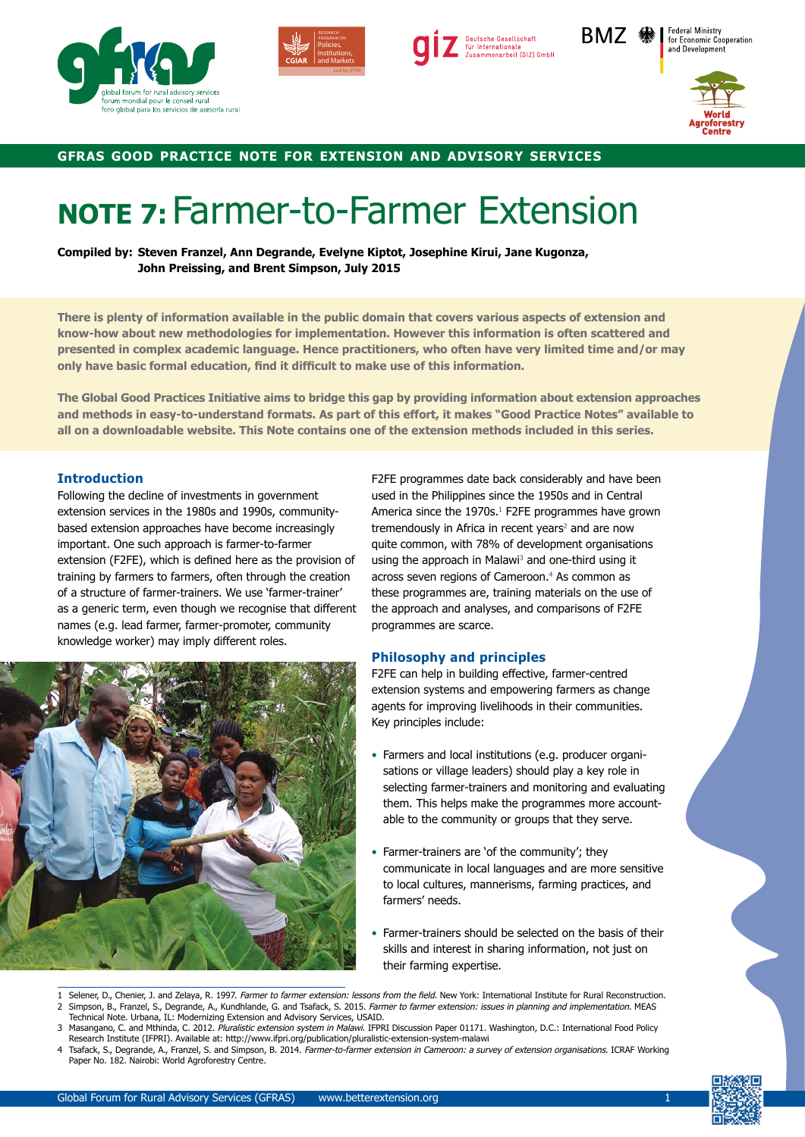



Deutsche Gesellschaft für Internationale<br>Zusammenarbeit (GIZ) GmbH BMZ �� I



**Federal Ministry** 

for Economic Cooperation

# **gfras good practice note for extension and advisory services**

# **NOTE 7:** Farmer-to-Farmer Extension

**Compiled by: Steven Franzel, Ann Degrande, Evelyne Kiptot, Josephine Kirui, Jane Kugonza, John Preissing, and Brent Simpson, July 2015**

**There is plenty of information available in the public domain that covers various aspects of extension and know-how about new methodologies for implementation. However this information is often scattered and presented in complex academic language. Hence practitioners, who often have very limited time and/or may only have basic formal education, find it difficult to make use of this information.** 

**The Global Good Practices Initiative aims to bridge this gap by providing information about extension approaches and methods in easy-to-understand formats. As part of this effort, it makes "Good Practice Notes" available to all on a downloadable website. This Note contains one of the extension methods included in this series.**

#### **Introduction**

Following the decline of investments in government extension services in the 1980s and 1990s, communitybased extension approaches have become increasingly important. One such approach is farmer-to-farmer extension (F2FE), which is defined here as the provision of training by farmers to farmers, often through the creation of a structure of farmer-trainers. We use 'farmer-trainer' as a generic term, even though we recognise that different names (e.g. lead farmer, farmer-promoter, community knowledge worker) may imply different roles.



F2FE programmes date back considerably and have been used in the Philippines since the 1950s and in Central America since the 1970s.<sup>1</sup> F2FE programmes have grown tremendously in Africa in recent years<sup>2</sup> and are now quite common, with 78% of development organisations using the approach in Malawi<sup>3</sup> and one-third using it across seven regions of Cameroon.4 As common as these programmes are, training materials on the use of the approach and analyses, and comparisons of F2FE programmes are scarce.

#### **Philosophy and principles**

F2FE can help in building effective, farmer-centred extension systems and empowering farmers as change agents for improving livelihoods in their communities. Key principles include:

- Farmers and local institutions (e.g. producer organisations or village leaders) should play a key role in selecting farmer-trainers and monitoring and evaluating them. This helps make the programmes more accountable to the community or groups that they serve.
- Farmer-trainers are 'of the community'; they communicate in local languages and are more sensitive to local cultures, mannerisms, farming practices, and farmers' needs.
- Farmer-trainers should be selected on the basis of their skills and interest in sharing information, not just on their farming expertise.
- Selener, D., Chenier, J. and Zelaya, R. 1997. Farmer to farmer extension: lessons from the field. New York: International Institute for Rural Reconstruction. 2 Simpson, B., Franzel, S., Degrande, A., Kundhlande, G. and Tsafack, S. 2015. Farmer to farmer extension: issues in planning and implementation. MEAS Technical Note. Urbana, IL: Modernizing Extension and Advisory Services, USAID.
- 3 Masangano, C. and Mthinda, C. 2012. Pluralistic extension system in Malawi. IFPRI Discussion Paper 01171. Washington, D.C.: International Food Policy Research Institute (IFPRI). Available at: http://www.ifpri.org/publication/pluralistic-extension-system-malawi
- 4 Tsafack, S., Degrande, A., Franzel, S. and Simpson, B. 2014. Farmer-to-farmer extension in Cameroon: a survey of extension organisations. ICRAF Working Paper No. 182. Nairobi: World Agroforestry Centre.

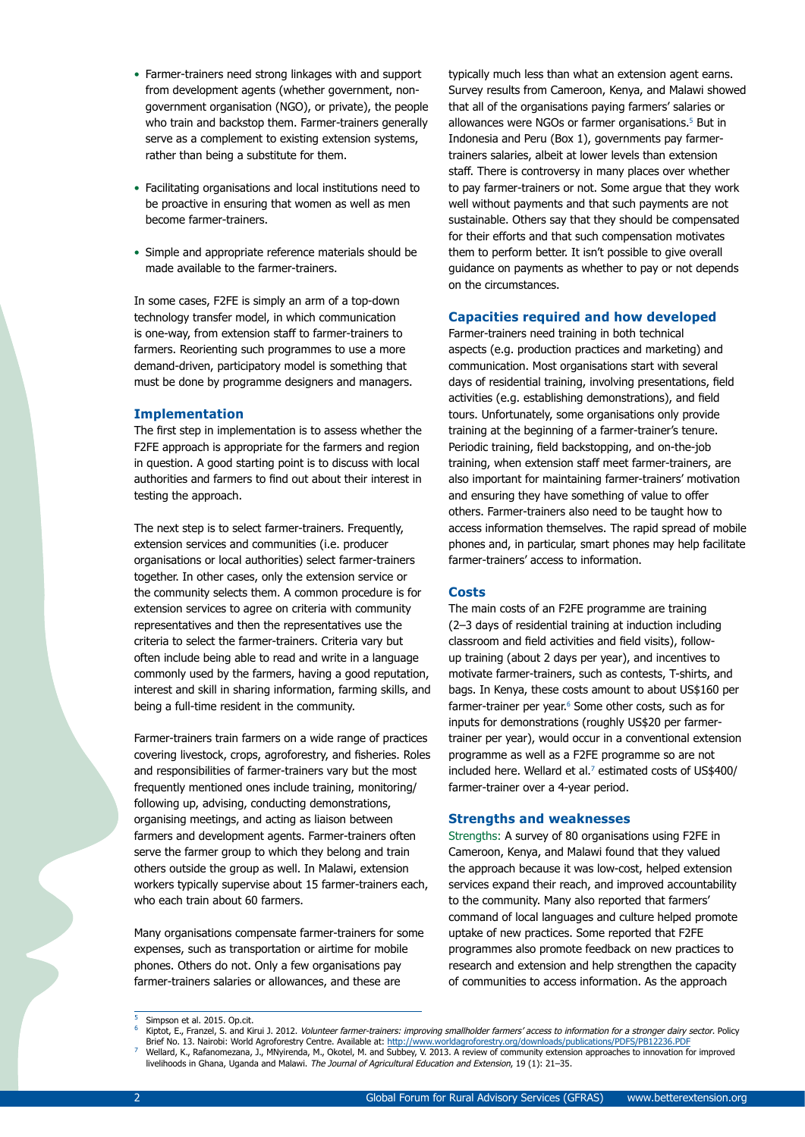- Farmer-trainers need strong linkages with and support from development agents (whether government, nongovernment organisation (NGO), or private), the people who train and backstop them. Farmer-trainers generally serve as a complement to existing extension systems, rather than being a substitute for them.
- Facilitating organisations and local institutions need to be proactive in ensuring that women as well as men become farmer-trainers.
- Simple and appropriate reference materials should be made available to the farmer-trainers.

In some cases, F2FE is simply an arm of a top-down technology transfer model, in which communication is one-way, from extension staff to farmer-trainers to farmers. Reorienting such programmes to use a more demand-driven, participatory model is something that must be done by programme designers and managers.

#### **Implementation**

The first step in implementation is to assess whether the F2FE approach is appropriate for the farmers and region in question. A good starting point is to discuss with local authorities and farmers to find out about their interest in testing the approach.

The next step is to select farmer-trainers. Frequently, extension services and communities (i.e. producer organisations or local authorities) select farmer-trainers together. In other cases, only the extension service or the community selects them. A common procedure is for extension services to agree on criteria with community representatives and then the representatives use the criteria to select the farmer-trainers. Criteria vary but often include being able to read and write in a language commonly used by the farmers, having a good reputation, interest and skill in sharing information, farming skills, and being a full-time resident in the community.

Farmer-trainers train farmers on a wide range of practices covering livestock, crops, agroforestry, and fisheries. Roles and responsibilities of farmer-trainers vary but the most frequently mentioned ones include training, monitoring/ following up, advising, conducting demonstrations, organising meetings, and acting as liaison between farmers and development agents. Farmer-trainers often serve the farmer group to which they belong and train others outside the group as well. In Malawi, extension workers typically supervise about 15 farmer-trainers each, who each train about 60 farmers.

Many organisations compensate farmer-trainers for some expenses, such as transportation or airtime for mobile phones. Others do not. Only a few organisations pay farmer-trainers salaries or allowances, and these are

typically much less than what an extension agent earns. Survey results from Cameroon, Kenya, and Malawi showed that all of the organisations paying farmers' salaries or allowances were NGOs or farmer organisations.<sup>5</sup> But in Indonesia and Peru (Box 1), governments pay farmertrainers salaries, albeit at lower levels than extension staff. There is controversy in many places over whether to pay farmer-trainers or not. Some argue that they work well without payments and that such payments are not sustainable. Others say that they should be compensated for their efforts and that such compensation motivates them to perform better. It isn't possible to give overall guidance on payments as whether to pay or not depends on the circumstances.

#### **Capacities required and how developed**

Farmer-trainers need training in both technical aspects (e.g. production practices and marketing) and communication. Most organisations start with several days of residential training, involving presentations, field activities (e.g. establishing demonstrations), and field tours. Unfortunately, some organisations only provide training at the beginning of a farmer-trainer's tenure. Periodic training, field backstopping, and on-the-job training, when extension staff meet farmer-trainers, are also important for maintaining farmer-trainers' motivation and ensuring they have something of value to offer others. Farmer-trainers also need to be taught how to access information themselves. The rapid spread of mobile phones and, in particular, smart phones may help facilitate farmer-trainers' access to information.

#### **Costs**

The main costs of an F2FE programme are training (2–3 days of residential training at induction including classroom and field activities and field visits), followup training (about 2 days per year), and incentives to motivate farmer-trainers, such as contests, T-shirts, and bags. In Kenya, these costs amount to about US\$160 per farmer-trainer per year.<sup>6</sup> Some other costs, such as for inputs for demonstrations (roughly US\$20 per farmertrainer per year), would occur in a conventional extension programme as well as a F2FE programme so are not included here. Wellard et al.<sup>7</sup> estimated costs of US\$400/ farmer-trainer over a 4-year period.

#### **Strengths and weaknesses**

Strengths: A survey of 80 organisations using F2FE in Cameroon, Kenya, and Malawi found that they valued the approach because it was low-cost, helped extension services expand their reach, and improved accountability to the community. Many also reported that farmers' command of local languages and culture helped promote uptake of new practices. Some reported that F2FE programmes also promote feedback on new practices to research and extension and help strengthen the capacity of communities to access information. As the approach

Simpson et al. 2015. Op.cit.

Kiptot, E., Franzel, S. and Kirui J. 2012. Volunteer farmer-trainers: improving smallholder farmers' access to information for a stronger dairy sector. Policy Brief No. 13. Nairobi: World Agroforestry Centre. Available at: http://www.worldagroforestry.org/downloads/publications/PDFS/PB12236.PDF <sup>7</sup> Wellard, K., Rafanomezana, J., MNyirenda, M., Okotel, M. and Subbey, V. 2013. A review of community extension approaches to innovation for improved livelihoods in Ghana, Uganda and Malawi. The Journal of Agricultural Education and Extension, 19 (1): 21-35.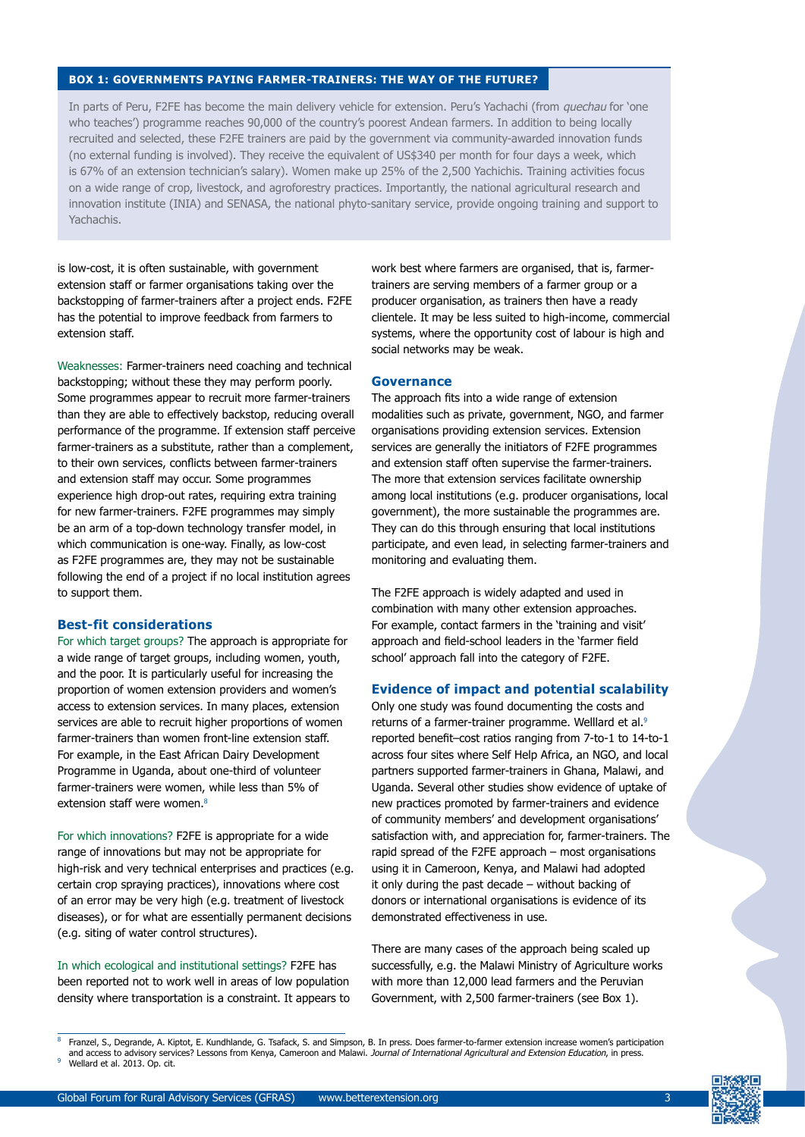### **BOX 1: GOVERNMENTS PAYING FARMER-TRAINERS: THE WAY OF THE FUTURE?**

In parts of Peru, F2FE has become the main delivery vehicle for extension. Peru's Yachachi (from *quechau* for 'one who teaches') programme reaches 90,000 of the country's poorest Andean farmers. In addition to being locally recruited and selected, these F2FE trainers are paid by the government via community-awarded innovation funds (no external funding is involved). They receive the equivalent of US\$340 per month for four days a week, which is 67% of an extension technician's salary). Women make up 25% of the 2,500 Yachichis. Training activities focus on a wide range of crop, livestock, and agroforestry practices. Importantly, the national agricultural research and innovation institute (INIA) and SENASA, the national phyto-sanitary service, provide ongoing training and support to Yachachis.

is low-cost, it is often sustainable, with government extension staff or farmer organisations taking over the backstopping of farmer-trainers after a project ends. F2FE has the potential to improve feedback from farmers to extension staff.

Weaknesses: Farmer-trainers need coaching and technical backstopping; without these they may perform poorly. Some programmes appear to recruit more farmer-trainers than they are able to effectively backstop, reducing overall performance of the programme. If extension staff perceive farmer-trainers as a substitute, rather than a complement, to their own services, conflicts between farmer-trainers and extension staff may occur. Some programmes experience high drop-out rates, requiring extra training for new farmer-trainers. F2FE programmes may simply be an arm of a top-down technology transfer model, in which communication is one-way. Finally, as low-cost as F2FE programmes are, they may not be sustainable following the end of a project if no local institution agrees to support them.

#### **Best-fit considerations**

For which target groups? The approach is appropriate for a wide range of target groups, including women, youth, and the poor. It is particularly useful for increasing the proportion of women extension providers and women's access to extension services. In many places, extension services are able to recruit higher proportions of women farmer-trainers than women front-line extension staff. For example, in the East African Dairy Development Programme in Uganda, about one-third of volunteer farmer-trainers were women, while less than 5% of extension staff were women.<sup>8</sup>

For which innovations? F2FE is appropriate for a wide range of innovations but may not be appropriate for high-risk and very technical enterprises and practices (e.g. certain crop spraying practices), innovations where cost of an error may be very high (e.g. treatment of livestock diseases), or for what are essentially permanent decisions (e.g. siting of water control structures).

In which ecological and institutional settings? F2FE has been reported not to work well in areas of low population density where transportation is a constraint. It appears to work best where farmers are organised, that is, farmertrainers are serving members of a farmer group or a producer organisation, as trainers then have a ready clientele. It may be less suited to high-income, commercial systems, where the opportunity cost of labour is high and social networks may be weak.

#### **Governance**

The approach fits into a wide range of extension modalities such as private, government, NGO, and farmer organisations providing extension services. Extension services are generally the initiators of F2FE programmes and extension staff often supervise the farmer-trainers. The more that extension services facilitate ownership among local institutions (e.g. producer organisations, local government), the more sustainable the programmes are. They can do this through ensuring that local institutions participate, and even lead, in selecting farmer-trainers and monitoring and evaluating them.

The F2FE approach is widely adapted and used in combination with many other extension approaches. For example, contact farmers in the 'training and visit' approach and field-school leaders in the 'farmer field school' approach fall into the category of F2FE.

## **Evidence of impact and potential scalability**

Only one study was found documenting the costs and returns of a farmer-trainer programme. Welllard et al.9 reported benefit–cost ratios ranging from 7-to-1 to 14-to-1 across four sites where Self Help Africa, an NGO, and local partners supported farmer-trainers in Ghana, Malawi, and Uganda. Several other studies show evidence of uptake of new practices promoted by farmer-trainers and evidence of community members' and development organisations' satisfaction with, and appreciation for, farmer-trainers. The rapid spread of the F2FE approach – most organisations using it in Cameroon, Kenya, and Malawi had adopted it only during the past decade – without backing of donors or international organisations is evidence of its demonstrated effectiveness in use.

There are many cases of the approach being scaled up successfully, e.g. the Malawi Ministry of Agriculture works with more than 12,000 lead farmers and the Peruvian Government, with 2,500 farmer-trainers (see Box 1).

<sup>8</sup> Franzel, S., Degrande, A. Kiptot, E. Kundhlande, G. Tsafack, S. and Simpson, B. In press. Does farmer-to-farmer extension increase women's participation and access to advisory services? Lessons from Kenya, Cameroon and Malawi. Journal of International Agricultural and Extension Education, in press.